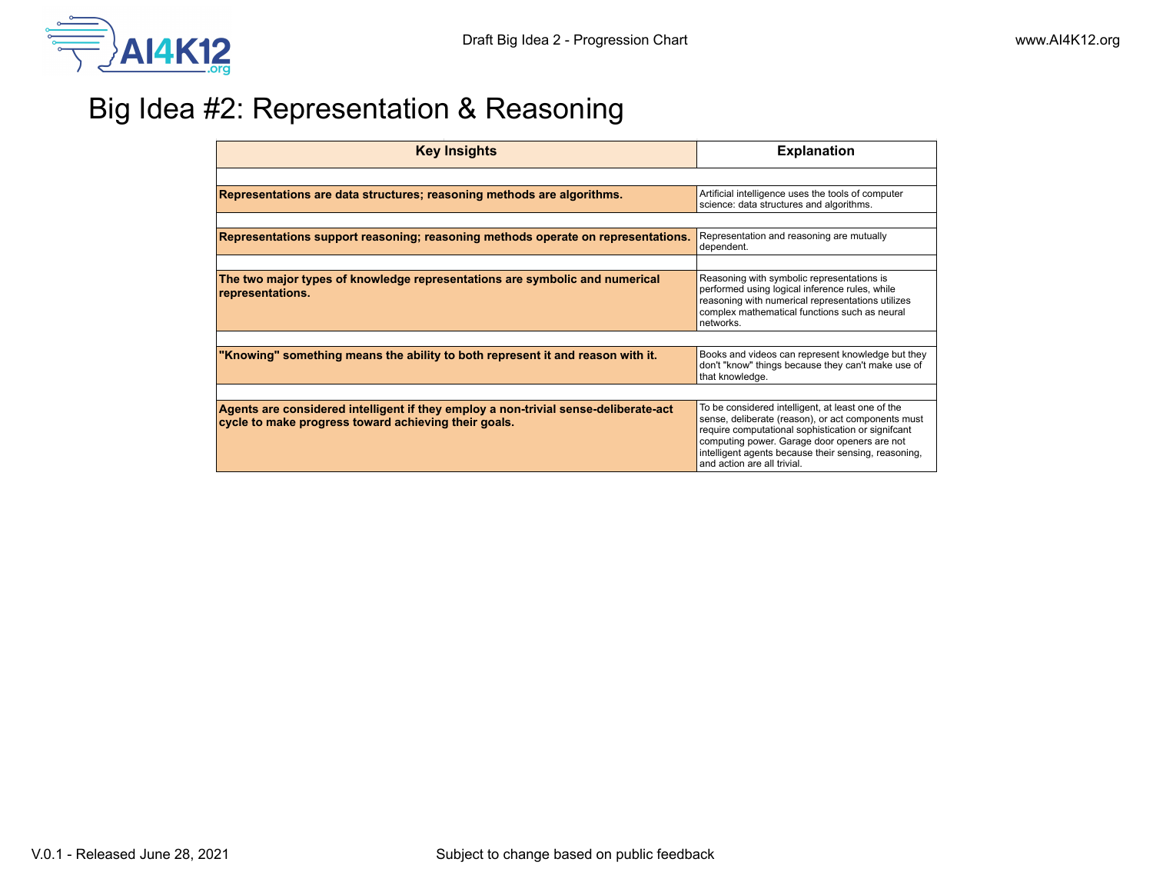

## Big Idea #2: Representation & Reasoning

| <b>Key Insights</b>                                                                                                                         | <b>Explanation</b>                                                                                                                                                                                                                                                                                   |
|---------------------------------------------------------------------------------------------------------------------------------------------|------------------------------------------------------------------------------------------------------------------------------------------------------------------------------------------------------------------------------------------------------------------------------------------------------|
|                                                                                                                                             |                                                                                                                                                                                                                                                                                                      |
| Representations are data structures; reasoning methods are algorithms.                                                                      | Artificial intelligence uses the tools of computer<br>science: data structures and algorithms.                                                                                                                                                                                                       |
|                                                                                                                                             |                                                                                                                                                                                                                                                                                                      |
| Representations support reasoning; reasoning methods operate on representations.                                                            | Representation and reasoning are mutually<br>dependent.                                                                                                                                                                                                                                              |
|                                                                                                                                             |                                                                                                                                                                                                                                                                                                      |
| The two major types of knowledge representations are symbolic and numerical<br>representations.                                             | Reasoning with symbolic representations is<br>performed using logical inference rules, while<br>reasoning with numerical representations utilizes<br>complex mathematical functions such as neural<br>networks.                                                                                      |
|                                                                                                                                             |                                                                                                                                                                                                                                                                                                      |
| "Knowing" something means the ability to both represent it and reason with it.                                                              | Books and videos can represent knowledge but they<br>don't "know" things because they can't make use of<br>that knowledge.                                                                                                                                                                           |
|                                                                                                                                             |                                                                                                                                                                                                                                                                                                      |
| Agents are considered intelligent if they employ a non-trivial sense-deliberate-act<br>cycle to make progress toward achieving their goals. | To be considered intelligent, at least one of the<br>sense, deliberate (reason), or act components must<br>require computational sophistication or signifcant<br>computing power. Garage door openers are not<br>intelligent agents because their sensing, reasoning,<br>and action are all trivial. |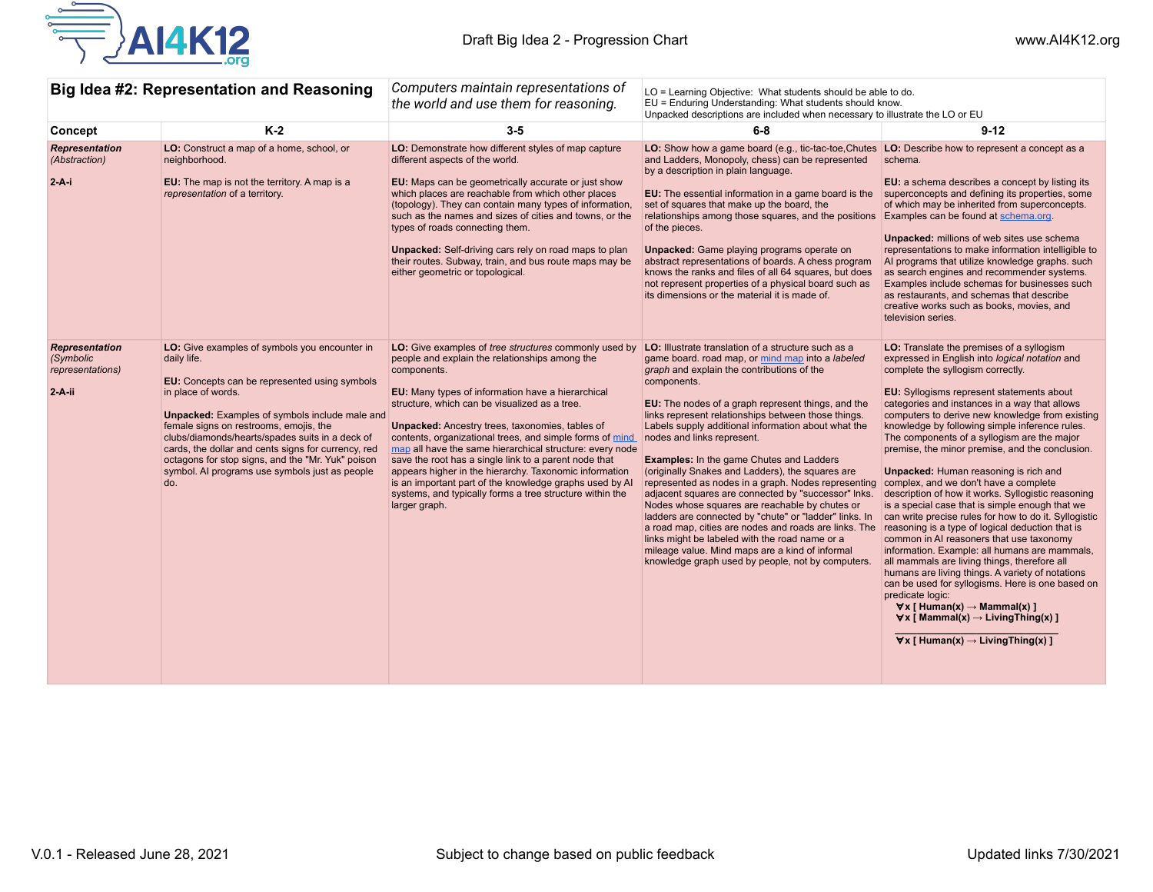

| Big Idea #2: Representation and Reasoning                          |                                                                                                                                                                                                                                                                                                                                                                                                                                                                       | Computers maintain representations of<br>the world and use them for reasoning.                                                                                                                                                                                                                                                                                                                                                                                                                                                                                                                                                                                            | LO = Learning Objective: What students should be able to do.<br>EU = Enduring Understanding: What students should know.<br>Unpacked descriptions are included when necessary to illustrate the LO or EU                                                                                                                                                                                                                                                                                                                                                                                                                                                                                                                                                                                                                                                                                                                                                          |                                                                                                                                                                                                                                                                                                                                                                                                                                                                                                                                                                                                                                                                                                                                                                                                                                                                                                                                                                                                                                                                                                                                                                |
|--------------------------------------------------------------------|-----------------------------------------------------------------------------------------------------------------------------------------------------------------------------------------------------------------------------------------------------------------------------------------------------------------------------------------------------------------------------------------------------------------------------------------------------------------------|---------------------------------------------------------------------------------------------------------------------------------------------------------------------------------------------------------------------------------------------------------------------------------------------------------------------------------------------------------------------------------------------------------------------------------------------------------------------------------------------------------------------------------------------------------------------------------------------------------------------------------------------------------------------------|------------------------------------------------------------------------------------------------------------------------------------------------------------------------------------------------------------------------------------------------------------------------------------------------------------------------------------------------------------------------------------------------------------------------------------------------------------------------------------------------------------------------------------------------------------------------------------------------------------------------------------------------------------------------------------------------------------------------------------------------------------------------------------------------------------------------------------------------------------------------------------------------------------------------------------------------------------------|----------------------------------------------------------------------------------------------------------------------------------------------------------------------------------------------------------------------------------------------------------------------------------------------------------------------------------------------------------------------------------------------------------------------------------------------------------------------------------------------------------------------------------------------------------------------------------------------------------------------------------------------------------------------------------------------------------------------------------------------------------------------------------------------------------------------------------------------------------------------------------------------------------------------------------------------------------------------------------------------------------------------------------------------------------------------------------------------------------------------------------------------------------------|
| Concept                                                            | $K-2$                                                                                                                                                                                                                                                                                                                                                                                                                                                                 | $3-5$                                                                                                                                                                                                                                                                                                                                                                                                                                                                                                                                                                                                                                                                     | $6 - 8$                                                                                                                                                                                                                                                                                                                                                                                                                                                                                                                                                                                                                                                                                                                                                                                                                                                                                                                                                          | $9 - 12$                                                                                                                                                                                                                                                                                                                                                                                                                                                                                                                                                                                                                                                                                                                                                                                                                                                                                                                                                                                                                                                                                                                                                       |
| <b>Representation</b><br>(Abstraction)<br>$2-A-i$                  | LO: Construct a map of a home, school, or<br>neighborhood.<br><b>EU:</b> The map is not the territory. A map is a<br>representation of a territory.                                                                                                                                                                                                                                                                                                                   | LO: Demonstrate how different styles of map capture<br>different aspects of the world.<br>EU: Maps can be geometrically accurate or just show<br>which places are reachable from which other places<br>(topology). They can contain many types of information,<br>such as the names and sizes of cities and towns, or the<br>types of roads connecting them.<br><b>Unpacked:</b> Self-driving cars rely on road maps to plan<br>their routes. Subway, train, and bus route maps may be<br>either geometric or topological.                                                                                                                                                | LO: Show how a game board (e.g., tic-tac-toe, Chutes LO: Describe how to represent a concept as a<br>and Ladders, Monopoly, chess) can be represented<br>by a description in plain language.<br><b>EU:</b> The essential information in a game board is the superconcepts and defining its properties, some<br>set of squares that make up the board, the<br>relationships among those squares, and the positions<br>of the pieces.<br><b>Unpacked:</b> Game playing programs operate on<br>abstract representations of boards. A chess program<br>knows the ranks and files of all 64 squares, but does<br>not represent properties of a physical board such as<br>its dimensions or the material it is made of.                                                                                                                                                                                                                                                | schema.<br><b>EU:</b> a schema describes a concept by listing its<br>of which may be inherited from superconcepts.<br>Examples can be found at schema.org.<br><b>Unpacked:</b> millions of web sites use schema<br>representations to make information intelligible to<br>Al programs that utilize knowledge graphs, such<br>as search engines and recommender systems.<br>Examples include schemas for businesses such<br>as restaurants, and schemas that describe<br>creative works such as books, movies, and<br>television series.                                                                                                                                                                                                                                                                                                                                                                                                                                                                                                                                                                                                                        |
| <b>Representation</b><br>(Symbolic<br>representations)<br>$2-A-ii$ | LO: Give examples of symbols you encounter in<br>daily life.<br><b>EU:</b> Concepts can be represented using symbols<br>in place of words.<br><b>Unpacked:</b> Examples of symbols include male and<br>female signs on restrooms, emojis, the<br>clubs/diamonds/hearts/spades suits in a deck of<br>cards, the dollar and cents signs for currency, red<br>octagons for stop signs, and the "Mr. Yuk" poison<br>symbol. Al programs use symbols just as people<br>do. | LO: Give examples of tree structures commonly used by<br>people and explain the relationships among the<br>components.<br>EU: Many types of information have a hierarchical<br>structure, which can be visualized as a tree.<br><b>Unpacked:</b> Ancestry trees, taxonomies, tables of<br>contents, organizational trees, and simple forms of mind<br>map all have the same hierarchical structure: every node<br>save the root has a single link to a parent node that<br>appears higher in the hierarchy. Taxonomic information<br>is an important part of the knowledge graphs used by AI<br>systems, and typically forms a tree structure within the<br>larger graph. | LO: Illustrate translation of a structure such as a<br>game board. road map, or mind map into a labeled<br>graph and explain the contributions of the<br>components.<br>EU: The nodes of a graph represent things, and the<br>links represent relationships between those things.<br>Labels supply additional information about what the<br>nodes and links represent.<br><b>Examples:</b> In the game Chutes and Ladders<br>(originally Snakes and Ladders), the squares are<br>represented as nodes in a graph. Nodes representing complex, and we don't have a complete<br>adjacent squares are connected by "successor" Inks.<br>Nodes whose squares are reachable by chutes or<br>ladders are connected by "chute" or "ladder" links. In<br>a road map, cities are nodes and roads are links. The<br>links might be labeled with the road name or a<br>mileage value. Mind maps are a kind of informal<br>knowledge graph used by people, not by computers. | LO: Translate the premises of a syllogism<br>expressed in English into logical notation and<br>complete the syllogism correctly.<br>EU: Syllogisms represent statements about<br>categories and instances in a way that allows<br>computers to derive new knowledge from existing<br>knowledge by following simple inference rules.<br>The components of a syllogism are the major<br>premise, the minor premise, and the conclusion.<br><b>Unpacked:</b> Human reasoning is rich and<br>description of how it works. Syllogistic reasoning<br>is a special case that is simple enough that we<br>can write precise rules for how to do it. Syllogistic<br>reasoning is a type of logical deduction that is<br>common in AI reasoners that use taxonomy<br>information. Example: all humans are mammals,<br>all mammals are living things, therefore all<br>humans are living things. A variety of notations<br>can be used for syllogisms. Here is one based on<br>predicate logic:<br>$\forall x \in$ Human(x) $\rightarrow$ Mammal(x) 1<br>$\forall x$ [ Mammal(x) $\rightarrow$ Living Thing(x) ]<br>$\forall x$ [Human(x) $\rightarrow$ Living Thing(x) ] |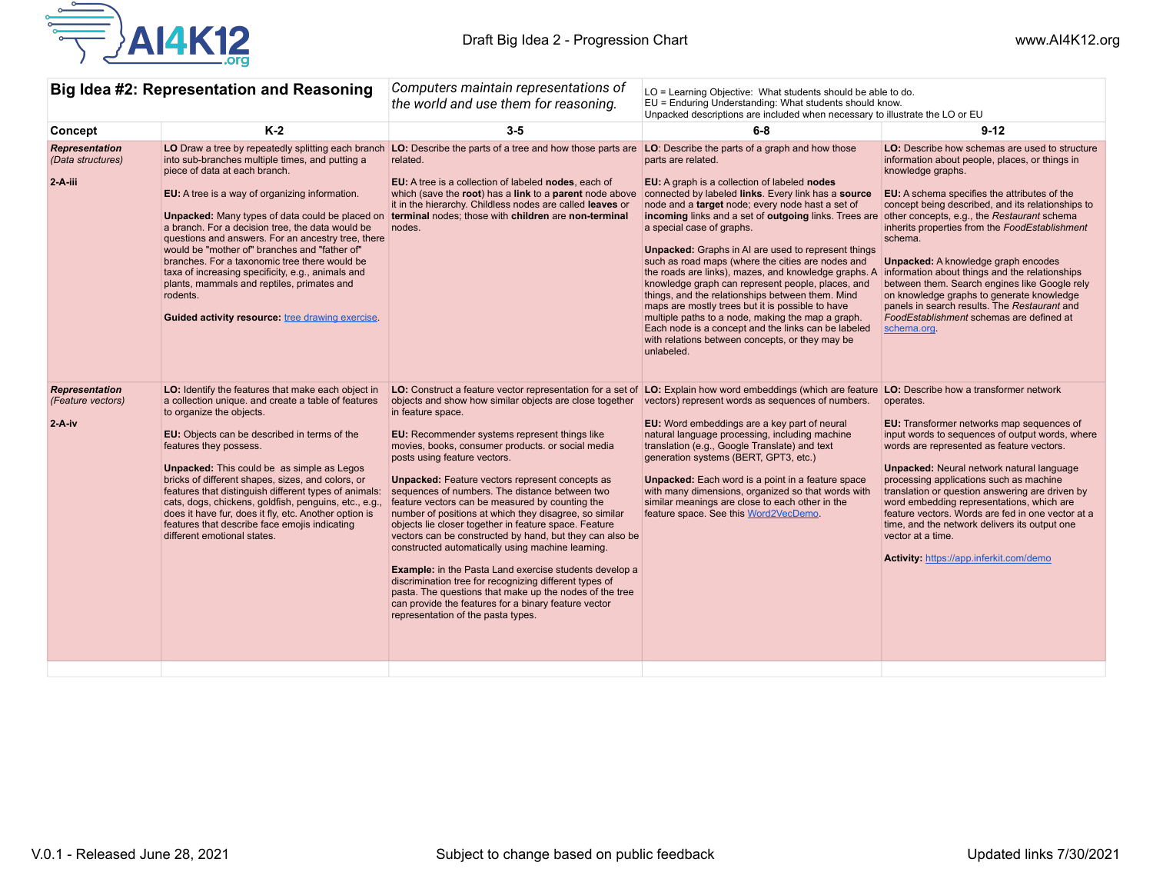

| Big Idea #2: Representation and Reasoning              |                                                                                                                                                                                                                                                                                                                                                                                                                                                                                                                                                                                      | Computers maintain representations of<br>the world and use them for reasoning.                                                                                                                                                                                                                                                                                                                                                                                                                                                                                                                                                                                                                                                                                                                                                                                                                                                                                          | LO = Learning Objective: What students should be able to do.<br>EU = Enduring Understanding: What students should know.<br>Unpacked descriptions are included when necessary to illustrate the LO or EU                                                                                                                                                                                                                                                                                                                                                                                                                                                                                                                                                                                                                                                                          |                                                                                                                                                                                                                                                                                                                                                                                                                                                                                                                                                                                                         |
|--------------------------------------------------------|--------------------------------------------------------------------------------------------------------------------------------------------------------------------------------------------------------------------------------------------------------------------------------------------------------------------------------------------------------------------------------------------------------------------------------------------------------------------------------------------------------------------------------------------------------------------------------------|-------------------------------------------------------------------------------------------------------------------------------------------------------------------------------------------------------------------------------------------------------------------------------------------------------------------------------------------------------------------------------------------------------------------------------------------------------------------------------------------------------------------------------------------------------------------------------------------------------------------------------------------------------------------------------------------------------------------------------------------------------------------------------------------------------------------------------------------------------------------------------------------------------------------------------------------------------------------------|----------------------------------------------------------------------------------------------------------------------------------------------------------------------------------------------------------------------------------------------------------------------------------------------------------------------------------------------------------------------------------------------------------------------------------------------------------------------------------------------------------------------------------------------------------------------------------------------------------------------------------------------------------------------------------------------------------------------------------------------------------------------------------------------------------------------------------------------------------------------------------|---------------------------------------------------------------------------------------------------------------------------------------------------------------------------------------------------------------------------------------------------------------------------------------------------------------------------------------------------------------------------------------------------------------------------------------------------------------------------------------------------------------------------------------------------------------------------------------------------------|
| Concept                                                | $K-2$                                                                                                                                                                                                                                                                                                                                                                                                                                                                                                                                                                                | $3-5$                                                                                                                                                                                                                                                                                                                                                                                                                                                                                                                                                                                                                                                                                                                                                                                                                                                                                                                                                                   | $6 - 8$                                                                                                                                                                                                                                                                                                                                                                                                                                                                                                                                                                                                                                                                                                                                                                                                                                                                          | $9 - 12$                                                                                                                                                                                                                                                                                                                                                                                                                                                                                                                                                                                                |
| <b>Representation</b><br>(Data structures)<br>2-A-iii  | into sub-branches multiple times, and putting a<br>piece of data at each branch.<br>EU: A tree is a way of organizing information.<br>a branch. For a decision tree, the data would be<br>questions and answers. For an ancestry tree, there<br>would be "mother of" branches and "father of"<br>branches. For a taxonomic tree there would be<br>taxa of increasing specificity, e.g., animals and<br>plants, mammals and reptiles, primates and<br>rodents.<br><b>Guided activity resource:</b> tree drawing exercise.                                                             | LO Draw a tree by repeatedly splitting each branch LO: Describe the parts of a tree and how those parts are<br>related.<br>EU: A tree is a collection of labeled nodes, each of<br>which (save the root) has a link to a parent node above<br>it in the hierarchy. Childless nodes are called leaves or<br>Unpacked: Many types of data could be placed on terminal nodes; those with children are non-terminal<br>nodes.                                                                                                                                                                                                                                                                                                                                                                                                                                                                                                                                               | LO: Describe the parts of a graph and how those<br>parts are related.<br>EU: A graph is a collection of labeled nodes<br>connected by labeled links. Every link has a source<br>node and a target node; every node hast a set of<br>incoming links and a set of outgoing links. Trees are other concepts, e.g., the Restaurant schema<br>a special case of graphs.<br>Unpacked: Graphs in AI are used to represent things<br>such as road maps (where the cities are nodes and<br>the roads are links), mazes, and knowledge graphs. A<br>knowledge graph can represent people, places, and<br>things, and the relationships between them. Mind<br>maps are mostly trees but it is possible to have<br>multiple paths to a node, making the map a graph.<br>Each node is a concept and the links can be labeled<br>with relations between concepts, or they may be<br>unlabeled. | <b>LO:</b> Describe how schemas are used to structure<br>information about people, places, or things in<br>knowledge graphs.<br>EU: A schema specifies the attributes of the<br>concept being described, and its relationships to<br>inherits properties from the FoodEstablishment<br>schema.<br><b>Unpacked:</b> A knowledge graph encodes<br>information about things and the relationships<br>between them. Search engines like Google rely<br>on knowledge graphs to generate knowledge<br>panels in search results. The Restaurant and<br>FoodEstablishment schemas are defined at<br>schema.org. |
| <b>Representation</b><br>(Feature vectors)<br>$2-A-iv$ | LO: Identify the features that make each object in<br>a collection unique, and create a table of features<br>to organize the objects.<br>EU: Objects can be described in terms of the<br>features they possess.<br><b>Unpacked:</b> This could be as simple as Legos<br>bricks of different shapes, sizes, and colors, or<br>features that distinguish different types of animals:<br>cats, dogs, chickens, goldfish, penguins, etc., e.g.,<br>does it have fur, does it fly, etc. Another option is<br>features that describe face emojis indicating<br>different emotional states. | LO: Construct a feature vector representation for a set of<br>objects and show how similar objects are close together<br>in feature space.<br>EU: Recommender systems represent things like<br>movies, books, consumer products. or social media<br>posts using feature vectors.<br><b>Unpacked:</b> Feature vectors represent concepts as<br>sequences of numbers. The distance between two<br>feature vectors can be measured by counting the<br>number of positions at which they disagree, so similar<br>objects lie closer together in feature space. Feature<br>vectors can be constructed by hand, but they can also be<br>constructed automatically using machine learning.<br><b>Example:</b> in the Pasta Land exercise students develop a<br>discrimination tree for recognizing different types of<br>pasta. The questions that make up the nodes of the tree<br>can provide the features for a binary feature vector<br>representation of the pasta types. | LO: Explain how word embeddings (which are feature LO: Describe how a transformer network<br>vectors) represent words as sequences of numbers.<br>EU: Word embeddings are a key part of neural<br>natural language processing, including machine<br>translation (e.g., Google Translate) and text<br>generation systems (BERT, GPT3, etc.)<br><b>Unpacked:</b> Each word is a point in a feature space<br>with many dimensions, organized so that words with<br>similar meanings are close to each other in the<br>feature space. See this Word2VecDemo.                                                                                                                                                                                                                                                                                                                         | operates.<br>EU: Transformer networks map sequences of<br>input words to sequences of output words, where<br>words are represented as feature vectors.<br><b>Unpacked: Neural network natural language</b><br>processing applications such as machine<br>translation or question answering are driven by<br>word embedding representations, which are<br>feature vectors. Words are fed in one vector at a<br>time, and the network delivers its output one<br>vector at a time.<br>Activity: https://app.inferkit.com/demo                                                                             |
|                                                        |                                                                                                                                                                                                                                                                                                                                                                                                                                                                                                                                                                                      |                                                                                                                                                                                                                                                                                                                                                                                                                                                                                                                                                                                                                                                                                                                                                                                                                                                                                                                                                                         |                                                                                                                                                                                                                                                                                                                                                                                                                                                                                                                                                                                                                                                                                                                                                                                                                                                                                  |                                                                                                                                                                                                                                                                                                                                                                                                                                                                                                                                                                                                         |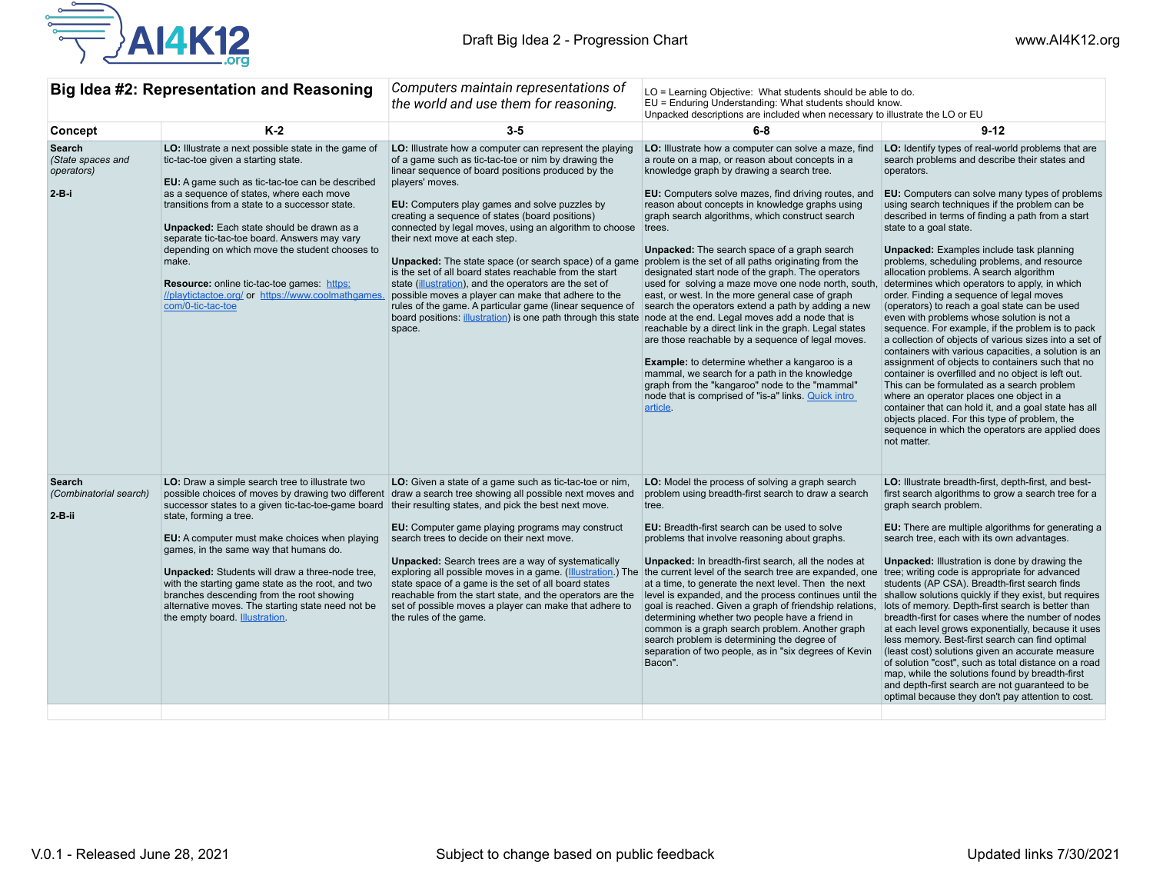

|                                                          | Big Idea #2: Representation and Reasoning                                                                                                                                                                                                                                                                                                                                                                                                                                                                                            | Computers maintain representations of<br>the world and use them for reasoning.                                                                                                                                                                                                                                                                                                                                                                                                                                                                                                                                                                                                                                                                                                                                                                                          | LO = Learning Objective: What students should be able to do.<br>EU = Enduring Understanding: What students should know.<br>Unpacked descriptions are included when necessary to illustrate the LO or EU                                                                                                                                                                                                                                                                                                                                                                                                                                                                                                                                                                                                                                                                                                                                              |                                                                                                                                                                                                                                                                                                                                                                                                                                                                                                                                                                                                                                                                                                                                                                                                                                                                                                                                                                                                                                                                                                                                                                                                           |
|----------------------------------------------------------|--------------------------------------------------------------------------------------------------------------------------------------------------------------------------------------------------------------------------------------------------------------------------------------------------------------------------------------------------------------------------------------------------------------------------------------------------------------------------------------------------------------------------------------|-------------------------------------------------------------------------------------------------------------------------------------------------------------------------------------------------------------------------------------------------------------------------------------------------------------------------------------------------------------------------------------------------------------------------------------------------------------------------------------------------------------------------------------------------------------------------------------------------------------------------------------------------------------------------------------------------------------------------------------------------------------------------------------------------------------------------------------------------------------------------|------------------------------------------------------------------------------------------------------------------------------------------------------------------------------------------------------------------------------------------------------------------------------------------------------------------------------------------------------------------------------------------------------------------------------------------------------------------------------------------------------------------------------------------------------------------------------------------------------------------------------------------------------------------------------------------------------------------------------------------------------------------------------------------------------------------------------------------------------------------------------------------------------------------------------------------------------|-----------------------------------------------------------------------------------------------------------------------------------------------------------------------------------------------------------------------------------------------------------------------------------------------------------------------------------------------------------------------------------------------------------------------------------------------------------------------------------------------------------------------------------------------------------------------------------------------------------------------------------------------------------------------------------------------------------------------------------------------------------------------------------------------------------------------------------------------------------------------------------------------------------------------------------------------------------------------------------------------------------------------------------------------------------------------------------------------------------------------------------------------------------------------------------------------------------|
| Concept                                                  | $K-2$                                                                                                                                                                                                                                                                                                                                                                                                                                                                                                                                | $3-5$                                                                                                                                                                                                                                                                                                                                                                                                                                                                                                                                                                                                                                                                                                                                                                                                                                                                   | $6 - 8$                                                                                                                                                                                                                                                                                                                                                                                                                                                                                                                                                                                                                                                                                                                                                                                                                                                                                                                                              | $9 - 12$                                                                                                                                                                                                                                                                                                                                                                                                                                                                                                                                                                                                                                                                                                                                                                                                                                                                                                                                                                                                                                                                                                                                                                                                  |
| Search<br>(State spaces and<br>operators)<br>$2 - B - i$ | LO: Illustrate a next possible state in the game of<br>tic-tac-toe given a starting state.<br>EU: A game such as tic-tac-toe can be described<br>as a sequence of states, where each move<br>transitions from a state to a successor state.<br>Unpacked: Each state should be drawn as a<br>separate tic-tac-toe board. Answers may vary<br>depending on which move the student chooses to<br>make.<br><b>Resource:</b> online tic-tac-toe games: https:<br>//playtictactoe.org/ or https://www.coolmathgames.<br>com/0-tic-tac-toe  | LO: Illustrate how a computer can represent the playing<br>of a game such as tic-tac-toe or nim by drawing the<br>linear sequence of board positions produced by the<br>players' moves.<br>EU: Computers play games and solve puzzles by<br>creating a sequence of states (board positions)<br>connected by legal moves, using an algorithm to choose<br>their next move at each step.<br>Unpacked: The state space (or search space) of a game problem is the set of all paths originating from the<br>is the set of all board states reachable from the start<br>state (illustration), and the operators are the set of<br>possible moves a player can make that adhere to the<br>rules of the game. A particular game (linear sequence of<br>board positions: illustration) is one path through this state node at the end. Legal moves add a node that is<br>space. | LO: Illustrate how a computer can solve a maze, find<br>a route on a map, or reason about concepts in a<br>knowledge graph by drawing a search tree.<br>EU: Computers solve mazes, find driving routes, and<br>reason about concepts in knowledge graphs using<br>graph search algorithms, which construct search<br>trees.<br><b>Unpacked:</b> The search space of a graph search<br>designated start node of the graph. The operators<br>used for solving a maze move one node north, south,<br>east, or west. In the more general case of graph<br>search the operators extend a path by adding a new<br>reachable by a direct link in the graph. Legal states<br>are those reachable by a sequence of legal moves.<br><b>Example:</b> to determine whether a kangaroo is a<br>mammal, we search for a path in the knowledge<br>graph from the "kangaroo" node to the "mammal"<br>node that is comprised of "is-a" links. Quick intro<br>article. | LO: Identify types of real-world problems that are<br>search problems and describe their states and<br>operators.<br><b>EU:</b> Computers can solve many types of problems<br>using search techniques if the problem can be<br>described in terms of finding a path from a start<br>state to a goal state.<br><b>Unpacked:</b> Examples include task planning<br>problems, scheduling problems, and resource<br>allocation problems. A search algorithm<br>determines which operators to apply, in which<br>order. Finding a sequence of legal moves<br>(operators) to reach a goal state can be used<br>even with problems whose solution is not a<br>sequence. For example, if the problem is to pack<br>a collection of objects of various sizes into a set of<br>containers with various capacities, a solution is an<br>assignment of objects to containers such that no<br>container is overfilled and no object is left out.<br>This can be formulated as a search problem<br>where an operator places one object in a<br>container that can hold it, and a goal state has all<br>objects placed. For this type of problem, the<br>sequence in which the operators are applied does<br>not matter. |
| Search<br>(Combinatorial search)<br>$2-B-ii$             | LO: Draw a simple search tree to illustrate two<br>possible choices of moves by drawing two different<br>successor states to a given tic-tac-toe-game board<br>state, forming a tree.<br>EU: A computer must make choices when playing<br>games, in the same way that humans do.<br>Unpacked: Students will draw a three-node tree,<br>with the starting game state as the root, and two<br>branches descending from the root showing<br>alternative moves. The starting state need not be<br>the empty board. <b>Illustration</b> . | LO: Given a state of a game such as tic-tac-toe or nim,<br>draw a search tree showing all possible next moves and<br>their resulting states, and pick the best next move.<br><b>EU:</b> Computer game playing programs may construct<br>search trees to decide on their next move.<br><b>Unpacked:</b> Search trees are a way of systematically<br>exploring all possible moves in a game. (Illustration.) The the current level of the search tree are expanded, one tree; writing code is appropriate for advanced<br>state space of a game is the set of all board states<br>reachable from the start state, and the operators are the<br>set of possible moves a player can make that adhere to<br>the rules of the game.                                                                                                                                           | LO: Model the process of solving a graph search<br>problem using breadth-first search to draw a search<br>tree.<br><b>EU:</b> Breadth-first search can be used to solve<br>problems that involve reasoning about graphs.<br><b>Unpacked:</b> In breadth-first search, all the nodes at<br>at a time, to generate the next level. Then the next<br>level is expanded, and the process continues until the shallow solutions quickly if they exist, but requires<br>goal is reached. Given a graph of friendship relations,<br>determining whether two people have a friend in<br>common is a graph search problem. Another graph<br>search problem is determining the degree of<br>separation of two people, as in "six degrees of Kevin<br>Bacon".                                                                                                                                                                                                   | LO: Illustrate breadth-first, depth-first, and best-<br>first search algorithms to grow a search tree for a<br>graph search problem.<br>EU: There are multiple algorithms for generating a<br>search tree, each with its own advantages.<br><b>Unpacked:</b> Illustration is done by drawing the<br>students (AP CSA). Breadth-first search finds<br>lots of memory. Depth-first search is better than<br>breadth-first for cases where the number of nodes<br>at each level grows exponentially, because it uses<br>less memory. Best-first search can find optimal<br>(least cost) solutions given an accurate measure<br>of solution "cost", such as total distance on a road<br>map, while the solutions found by breadth-first<br>and depth-first search are not guaranteed to be<br>optimal because they don't pay attention to cost.                                                                                                                                                                                                                                                                                                                                                               |